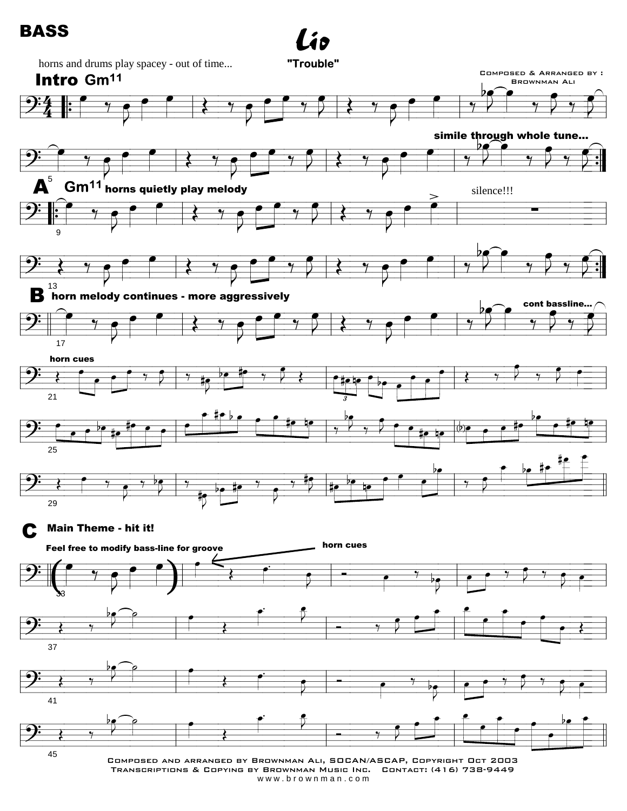## **BASS**





 $\boldsymbol{i}$ o

TRANSCRIPTIONS & COPYING BY BROWNMAN MUSIC INC. CONTACT: (416) 738-9449 www.brownman.com